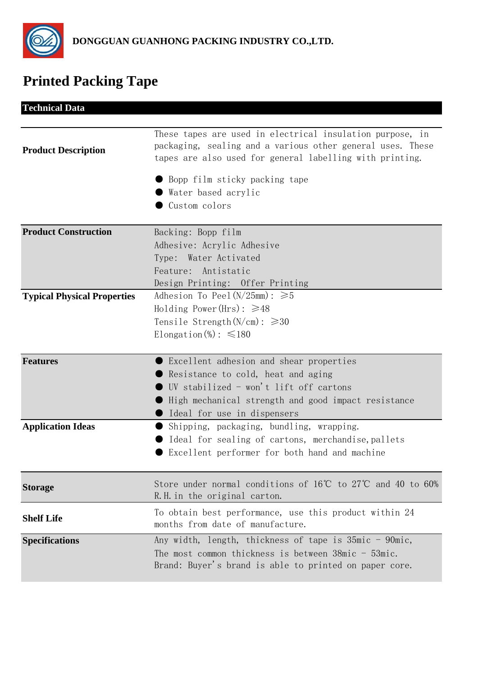

## **Printed Packing Tape**

| <b>Technical Data</b>              |                                                                                                                                                                                                                           |
|------------------------------------|---------------------------------------------------------------------------------------------------------------------------------------------------------------------------------------------------------------------------|
| <b>Product Description</b>         | These tapes are used in electrical insulation purpose, in<br>packaging, sealing and a various other general uses. These<br>tapes are also used for general labelling with printing.                                       |
|                                    | Bopp film sticky packing tape<br>Water based acrylic<br>Custom colors                                                                                                                                                     |
| <b>Product Construction</b>        | Backing: Bopp film<br>Adhesive: Acrylic Adhesive<br>Type: Water Activated<br>Feature: Antistatic<br>Design Printing: Offer Printing                                                                                       |
| <b>Typical Physical Properties</b> | Adhesion To Peel $(N/25mm): \ge 5$<br>Holding Power (Hrs): $\geq 48$<br>Tensile Strength( $N/cm$ ): $\geqslant$ 30<br>Elongation $\Im$ : $\leq 180$                                                                       |
| <b>Features</b>                    | Excellent adhesion and shear properties<br>$\bullet$ Resistance to cold, heat and aging<br>UV stabilized - won't lift off cartons<br>High mechanical strength and good impact resistance<br>● Ideal for use in dispensers |
| <b>Application Ideas</b>           | Shipping, packaging, bundling, wrapping.<br>Ideal for sealing of cartons, merchandise, pallets<br>Excellent performer for both hand and machine                                                                           |
| <b>Storage</b>                     | Store under normal conditions of $16^{\circ}C$ to $27^{\circ}C$ and 40 to 60%<br>R.H. in the original carton.                                                                                                             |
| <b>Shelf Life</b>                  | To obtain best performance, use this product within 24<br>months from date of manufacture.                                                                                                                                |
| <b>Specifications</b>              | Any width, length, thickness of tape is 35mic - 90mic,<br>The most common thickness is between $38$ mic - $53$ mic.<br>Brand: Buyer's brand is able to printed on paper core.                                             |